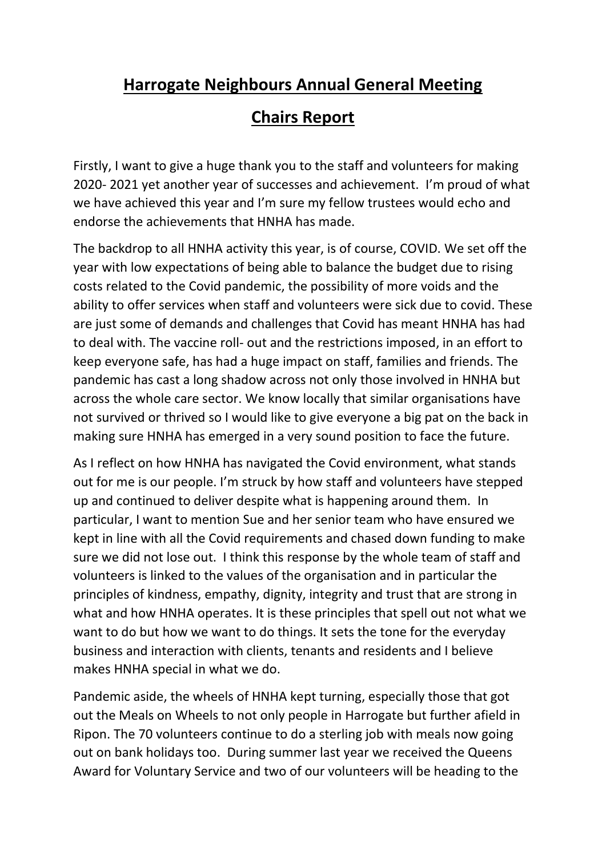## **Harrogate Neighbours Annual General Meeting**

## **Chairs Report**

Firstly, I want to give a huge thank you to the staff and volunteers for making 2020- 2021 yet another year of successes and achievement. I'm proud of what we have achieved this year and I'm sure my fellow trustees would echo and endorse the achievements that HNHA has made.

The backdrop to all HNHA activity this year, is of course, COVID. We set off the year with low expectations of being able to balance the budget due to rising costs related to the Covid pandemic, the possibility of more voids and the ability to offer services when staff and volunteers were sick due to covid. These are just some of demands and challenges that Covid has meant HNHA has had to deal with. The vaccine roll- out and the restrictions imposed, in an effort to keep everyone safe, has had a huge impact on staff, families and friends. The pandemic has cast a long shadow across not only those involved in HNHA but across the whole care sector. We know locally that similar organisations have not survived or thrived so I would like to give everyone a big pat on the back in making sure HNHA has emerged in a very sound position to face the future.

As I reflect on how HNHA has navigated the Covid environment, what stands out for me is our people. I'm struck by how staff and volunteers have stepped up and continued to deliver despite what is happening around them. In particular, I want to mention Sue and her senior team who have ensured we kept in line with all the Covid requirements and chased down funding to make sure we did not lose out. I think this response by the whole team of staff and volunteers is linked to the values of the organisation and in particular the principles of kindness, empathy, dignity, integrity and trust that are strong in what and how HNHA operates. It is these principles that spell out not what we want to do but how we want to do things. It sets the tone for the everyday business and interaction with clients, tenants and residents and I believe makes HNHA special in what we do.

Pandemic aside, the wheels of HNHA kept turning, especially those that got out the Meals on Wheels to not only people in Harrogate but further afield in Ripon. The 70 volunteers continue to do a sterling job with meals now going out on bank holidays too. During summer last year we received the Queens Award for Voluntary Service and two of our volunteers will be heading to the